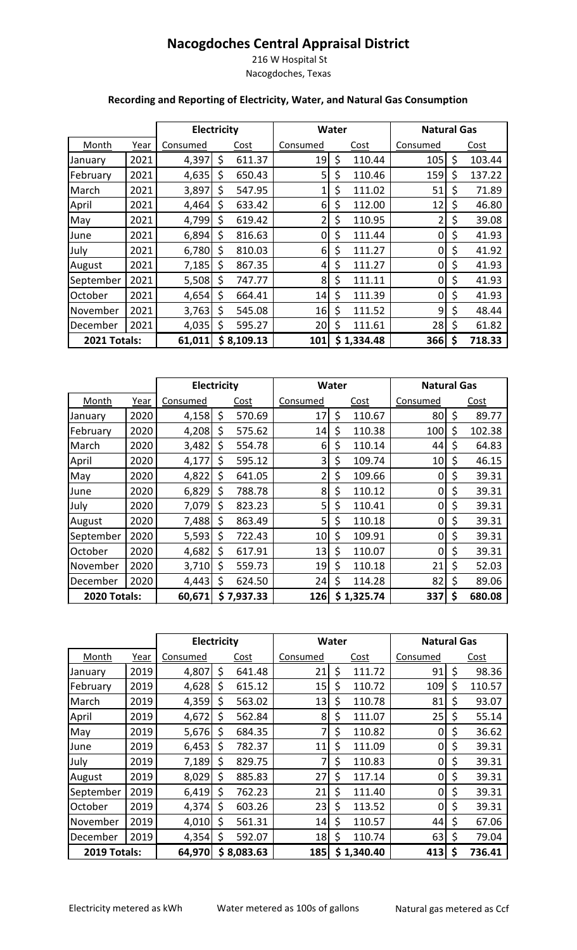## **Nacogdoches Central Appraisal District**

 216 W Hospital St Nacogdoches, Texas

## **Recording and Reporting of Electricity, Water, and Natural Gas Consumption**

|                     |      |          | <b>Electricity</b> |            | <b>Water</b> |    |            | <b>Natural Gas</b> |    |        |
|---------------------|------|----------|--------------------|------------|--------------|----|------------|--------------------|----|--------|
| Month               | Year | Consumed |                    | Cost       | Consumed     |    | Cost       | Consumed           |    | Cost   |
| January             | 2021 | 4,397    | \$                 | 611.37     | 19           | \$ | 110.44     | 105                | \$ | 103.44 |
| February            | 2021 | 4,635    | \$                 | 650.43     | 5            | \$ | 110.46     | 159                | \$ | 137.22 |
| March               | 2021 | 3,897    | \$                 | 547.95     |              | \$ | 111.02     | 51                 | \$ | 71.89  |
| April               | 2021 | 4,464    | \$                 | 633.42     | 6            | \$ | 112.00     | 12                 | \$ | 46.80  |
| May                 | 2021 | 4,799    | \$                 | 619.42     | 2            | \$ | 110.95     | 2                  | \$ | 39.08  |
| June                | 2021 | 6,894    | \$                 | 816.63     | 0            | \$ | 111.44     | 0                  | \$ | 41.93  |
| July                | 2021 | 6,780    | \$                 | 810.03     | 6            | \$ | 111.27     | 0                  | \$ | 41.92  |
| August              | 2021 | 7,185    | \$                 | 867.35     | 4            | \$ | 111.27     | 0                  | \$ | 41.93  |
| September           | 2021 | 5,508    | \$                 | 747.77     | 8            | \$ | 111.11     | $\overline{0}$     | \$ | 41.93  |
| October             | 2021 | 4,654    | \$                 | 664.41     | 14           | \$ | 111.39     | 0                  | \$ | 41.93  |
| November            | 2021 | 3,763    | \$                 | 545.08     | 16           | \$ | 111.52     | 9                  | \$ | 48.44  |
| December            | 2021 | 4,035    | \$                 | 595.27     | 20           |    | 111.61     | 28                 | \$ | 61.82  |
| <b>2021 Totals:</b> |      | 61,011   |                    | \$8,109.13 | 101          |    | \$1,334.48 | 366                | \$ | 718.33 |

|                     |      | <b>Electricity</b> |    |            |                 | <b>Water</b> |            | <b>Natural Gas</b> |    |        |  |
|---------------------|------|--------------------|----|------------|-----------------|--------------|------------|--------------------|----|--------|--|
| Month               | Year | Consumed           |    | Cost       | Consumed        |              | Cost       | Consumed           |    | Cost   |  |
| January             | 2020 | 4,158              | \$ | 570.69     | 17              | \$           | 110.67     | 80                 | \$ | 89.77  |  |
| February            | 2020 | 4,208              | \$ | 575.62     | 14              | Ş            | 110.38     | 100                | \$ | 102.38 |  |
| March               | 2020 | 3,482              | \$ | 554.78     | 6               | \$           | 110.14     | 44                 | \$ | 64.83  |  |
| April               | 2020 | 4,177              | \$ | 595.12     | 3               | \$           | 109.74     | 10                 | \$ | 46.15  |  |
| May                 | 2020 | 4,822              | \$ | 641.05     | 2               | \$           | 109.66     | 0                  | \$ | 39.31  |  |
| June                | 2020 | 6,829              | \$ | 788.78     | 8               | \$           | 110.12     | 0                  | \$ | 39.31  |  |
| July                | 2020 | 7,079              | \$ | 823.23     | 5               | \$           | 110.41     | 0                  | \$ | 39.31  |  |
| August              | 2020 | 7,488              | \$ | 863.49     | 5               | \$           | 110.18     | 0                  | \$ | 39.31  |  |
| September           | 2020 | 5,593              | Ś  | 722.43     | 10 <sub>l</sub> | \$           | 109.91     | 0                  | \$ | 39.31  |  |
| <b>October</b>      | 2020 | 4,682              | \$ | 617.91     | 13              | \$           | 110.07     | 0                  | \$ | 39.31  |  |
| November            | 2020 | 3,710              | \$ | 559.73     | 19              | \$           | 110.18     | 21                 | \$ | 52.03  |  |
| December            | 2020 | 4,443              | \$ | 624.50     | 24              | \$           | 114.28     | 82                 | \$ | 89.06  |  |
| <b>2020 Totals:</b> |      | 60,671             |    | \$7,937.33 | 126             |              | \$1,325.74 | 337                | \$ | 680.08 |  |

|              |      | <b>Electricity</b> |    |             |          | <b>Water</b> |            | <b>Natural Gas</b> |    |             |  |
|--------------|------|--------------------|----|-------------|----------|--------------|------------|--------------------|----|-------------|--|
| Month        | Year | Consumed           |    | <b>Cost</b> | Consumed |              | Cost       | Consumed           |    | <b>Cost</b> |  |
| Januarv      | 2019 | 4,807              | \$ | 641.48      | 21       | \$           | 111.72     | 91                 | \$ | 98.36       |  |
| February     | 2019 | 4,628              | \$ | 615.12      | 15       | \$           | 110.72     | 109                | \$ | 110.57      |  |
| March        | 2019 | 4,359              | \$ | 563.02      | 13       | \$           | 110.78     | 81                 | \$ | 93.07       |  |
| April        | 2019 | 4,672              | \$ | 562.84      | 8        | \$           | 111.07     | 25                 | \$ | 55.14       |  |
| May          | 2019 | 5,676              | \$ | 684.35      | 7        | \$           | 110.82     | 0                  |    | 36.62       |  |
| June         | 2019 | 6,453              | \$ | 782.37      | 11       | \$           | 111.09     | 0                  |    | 39.31       |  |
| July         | 2019 | 7,189              | \$ | 829.75      | 7        | \$           | 110.83     | $\Omega$           | \$ | 39.31       |  |
| August       | 2019 | 8,029              | \$ | 885.83      | 27       | \$           | 117.14     | 0                  | \$ | 39.31       |  |
| September    | 2019 | 6,419              | \$ | 762.23      | 21       | \$           | 111.40     | <sup>0</sup>       | \$ | 39.31       |  |
| October      | 2019 | 4,374              | \$ | 603.26      | 23       | \$           | 113.52     | ი                  | \$ | 39.31       |  |
| November     | 2019 | 4,010              | \$ | 561.31      | 14       | \$           | 110.57     | 44                 | \$ | 67.06       |  |
| December     | 2019 | 4,354              | \$ | 592.07      | 18       | \$           | 110.74     | 63                 | \$ | 79.04       |  |
| 2019 Totals: |      | 64,970             |    | \$8,083.63  | 185      |              | \$1,340.40 | 413                | S  | 736.41      |  |